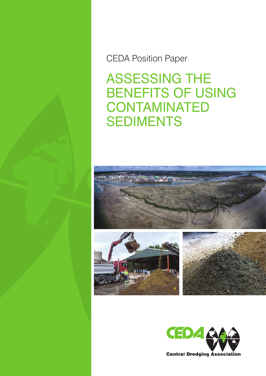CEDA Position Paper

Assessing the Benefits of Using **CONTAMINATED SEDIMENTS** 





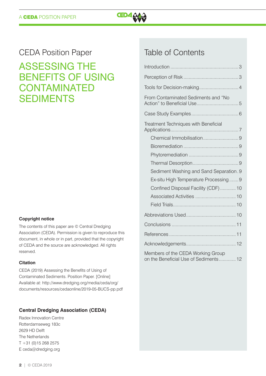

# CEDA Position Paper

# Assessing the Benefits of Using **CONTAMINATED SEDIMENTS**

#### **Copyright notice**

The contents of this paper are © Central Dredging Association (CEDA). Permission is given to reproduce this document, in whole or in part, provided that the copyright of CEDA and the source are acknowledged. All rights reserved.

#### **Citation**

CEDA (2019) Assessing the Benefits of Using of Contaminated Sediments. Position Paper. [Online] Available at: [http://www.dredging.org/media/ceda/org/](http://www.dredging.org/media/ceda/org/documents/resources/cedaonline/2019-05-BUCS-pp.pdf) [documents/resources/cedaonline/2019-05-BUCS-pp.pdf](http://www.dredging.org/media/ceda/org/documents/resources/cedaonline/2019-05-BUCS-pp.pdf) 

#### **Central Dredging Association (CEDA)**

Radex Innovation Centre Rotterdamseweg 183c 2629 HD Delft The Netherlands  $T + 31 (0)15 268 2575$ E [ceda@dredging.org](mailto:ceda@dredging.org)

# Table of Contents

| From Contaminated Sediments and "No                                        |
|----------------------------------------------------------------------------|
|                                                                            |
| Treatment Techniques with Beneficial                                       |
|                                                                            |
|                                                                            |
|                                                                            |
|                                                                            |
| Sediment Washing and Sand Separation. 9                                    |
| Ex-situ High Temperature Processing9                                       |
| Confined Disposal Facility (CDF)  10                                       |
|                                                                            |
|                                                                            |
|                                                                            |
|                                                                            |
|                                                                            |
|                                                                            |
| Members of the CEDA Working Group<br>on the Beneficial Use of Sediments 12 |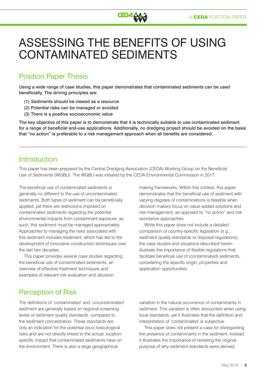

# Assessing the Benefits of Using Contaminated Sediments

# Position Paper Thesis

Using a wide range of case studies, this paper demonstrates that contaminated sediments can be used beneficially. The driving principles are:

- (1) Sediments should be viewed as a resource
- (2) Potential risks can be managed or avoided
- (3) There is a positive socioeconomic value

The key objective of this paper is to demonstrate that it is technically suitable to use contaminated sediment for a range of beneficial end-use applications. Additionally, no dredging project should be avoided on the basis that "no action" is preferable to a risk management approach when all benefits are considered.

# Introduction

This paper has been prepared by the Central Dredging Association (CEDA) Working Group on the Beneficial Use of Sediments (WGBU). The WGBU was initiated by the CEDA Environmental Commission in 2017.

The beneficial use of contaminated sediments is generally no different to the use of uncontaminated sediments. Both types of sediment can be beneficially applied, yet there are restrictions imposed on contaminated sediments regarding the potential environmental impacts from contaminant exposure; as such, this sediment must be managed appropriately. Approaches to managing the risks associated with this sediment includes treatment, which has led to the development of innovative construction techniques over the last two decades.

This paper provides several case studies regarding the beneficial use of contaminated sediments, an overview of effective treatment techniques and examples of relevant risk evaluation and decisionmaking frameworks. Within this context, this paper demonstrates that the beneficial use of sediment with varying degrees of contaminations is feasible when decision makers focus on value-added solutions and risk management, as opposed to "no action" and risk avoidance approaches.

While this paper does not include a detailed comparison of country-specific legislation (e.g., sediment quality standards or disposal regulations), the case studies and situations described herein illustrate the importance of flexible regulations that facilitate beneficial use of (contaminated) sediments, considering the specific origin, properties and application opportunities.

# Perception of Risk

The definitions of 'contaminated' and 'uncontaminated' sediment are generally based on regional screening levels or sediment quality standards, compared to the sediment concentration. These standards are only an indication for the potential (eco) toxicological risks and are not directly linked to the actual, locationspecific impact that contaminated sediments have on the environment. There is also a large geographical

variation in the natural occurrence of contaminants in sediment. This variation is often discounted when using local standards, yet it illustrates that the definition and interpretation of 'contaminated' is subjective.

This paper does not present a case for disregarding the presence of contaminants in the sediment. Instead, it illustrates the importance of revisiting the original purpose of why sediment standards were derived,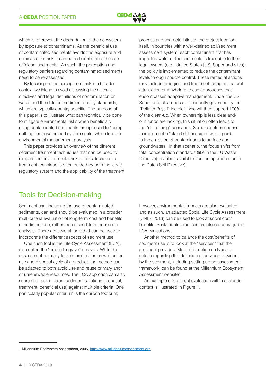

which is to prevent the degradation of the ecosystem by exposure to contaminants. As the beneficial use of contaminated sediments avoids this exposure and eliminates the risk, it can be as beneficial as the use of 'clean' sediments. As such, the perception and regulatory barriers regarding contaminated sediments need to be re-assessed.

By focusing on the perception of risk in a broader context, we intend to avoid discussing the different directives and legal definitions of contamination or waste and the different sediment quality standards, which are typically country specific. The purpose of this paper is to illustrate what can technically be done to mitigate environmental risks when beneficially using contaminated sediments, as opposed to "doing nothing" on a watershed system scale, which leads to environmental management paralysis.

This paper provides an overview of the different sediment treatment techniques that can be used to mitigate the environmental risks. The selection of a treatment technique is often guided by both the legal/ regulatory system and the applicability of the treatment process and characteristics of the project location itself. In countries with a well-defined soil/sediment assessment system, each contaminant that has impacted water or the sediments is traceable to their legal owners (e.g., United States [US] Superfund sites); the policy is implemented to reduce the contaminant levels through source control. These remedial actions may include dredging and treatment, capping, natural attenuation or a hybrid of these approaches that encompasses adaptive management. Under the US Superfund, clean-ups are financially governed by the "Polluter Pays Principle", who will then support 100% of the clean-up. When ownership is less clear and/ or if funds are lacking, this situation often leads to the "do nothing" scenarios. Some countries choose to implement a "stand still principle" with regard to the emission of contaminants to surface and groundwaters. In that scenario, the focus shifts from total concentration standards (like in the EU Waste Directive) to a (bio) available fraction approach (as in the Dutch Soil Directive).

### Tools for Decision-making

Sediment use, including the use of contaminated sediments, can and should be evaluated in a broader multi-criteria evaluation of long-term cost and benefits of sediment use, rather than a short-term economic analysis. There are several tools that can be used to incorporate the different aspects of sediment use.

One such tool is the Life-Cycle Assessment (LCA), also called the "cradle-to-grave" analysis. While this assessment normally targets production as well as the use and disposal cycle of a product, the method can be adapted to both avoid use and reuse primary and/ or unrenewable resources. The LCA approach can also score and rank different sediment solutions (disposal, treatment, beneficial use) against multiple criteria. One particularly popular criterium is the carbon footprint;

however, environmental impacts are also evaluated and as such, an adapted Social Life Cycle Assessment (UNEP, 2013) can be used to look at social cost/ benefits. Sustainable practices are also encouraged in LCA evaluations.

Another method to balance the cost/benefits of sediment use is to look at the "services" that the sediment provides. More information on types of criteria regarding the definition of services provided by the sediment, including setting up an assessment framework, can be found at the Millennium Ecosystem Assessment website<sup>1</sup>.

An example of a project evaluation within a broader context is illustrated in Figure 1.

<sup>1</sup> Millennium Ecosystem Assessment, 2005,<http://www.millenniumassessment.org>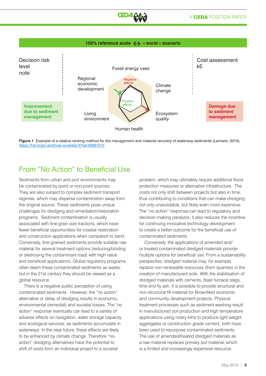

#### 100% reference scale  $\leftrightarrow$  « worst » scenario





### From "No Action" to Beneficial Use

Sediments from urban and port environments may be contaminated by point or non-point sources. They are also subject to complex sediment transport regimes, which may disperse contamination away from the original source. These sediments pose unique challenges for dredging and remediation/restoration programs. Sediment contamination is usually associated with fine-grain size fractions, which have fewer beneficial opportunities for coastal restoration and construction applications when compared to sand. Conversely, fine-grained sediments provide suitable raw material for several treatment options (reducing/binding or destroying the contaminant load) with high value and beneficial applications. Global regulatory programs often deem these contaminated sediments as waste, but in the 21st century they should be viewed as a global resource.

There is a negative public perception of using contaminated sediments. However, the "no action" alternative or delay of dredging results in economic, environmental (remedial) and societal losses. The "no action" response eventually can lead to a variety of adverse effects on navigation, water storage capacity and ecological services, as sediments accumulate in waterways. In the near future, these effects are likely to be enhanced by climate change. Therefore "noaction" dredging alternatives have the potential to shift of costs from an individual project to a societal

problem, which may ultimately require additional flood protection measures or alternative infrastructure. The costs not only shift between projects but also in time, thus contributing to conditions that can make dredging not only unavoidable, but likely even more expensive. The "no action" response can lead to regulatory and decision-making paralysis; it also reduces the incentive for continuing innovative technology development to create a better outcome for the beneficial use of contaminated sediments.

Conversely, the applications of amended and/ or treated contaminated dredged materials provide multiple options for beneficial use. From a sustainability perspective, dredged material may, for example, replace non-renewable resources (from quarries) in the creation of manufactured soils. With the stabilisation of dredged materials with cements, blast furnace slags, lime and fly ash, it is possible to provide structural and non-structural fill material for Brownfield economic and community development projects. Physical treatment processes such as sediment washing result in manufactured soil production and high temperature applications using rotary kilns to produce light weight aggregates or construction grade cement; both have been used to repurpose contaminated sediments. The use of amended/treated dredged materials as a raw material replaces primary soil material, which is a limited and increasingly expensive resource.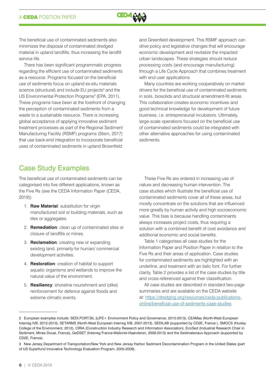

The beneficial use of contaminated sediments also minimizes the disposal of contaminated dredged material in upland landfills, thus increasing the landfill service life.

There has been significant programmatic progress regarding the efficient use of contaminated sediments as a resource. Programs focused on the beneficial use of sediments focus on upland ex-situ materials science (structural) and include EU projects<sup>2</sup> and the US Environmental Protection Programs<sup>3</sup> (EPA, 2011). These programs have been at the forefront of changing the perception of contaminated sediments from a waste to a sustainable resource. There is increasing global acceptance of applying innovative sediment treatment processes as part of the Regional Sediment Manufacturing Facility (RSMF) programs (Stern, 2017) that use back-end integration to incorporate beneficial uses of contaminated sediments in upland Brownfield

and Greenfield development. This RSMF approach can drive policy and legislative changes that will encourage economic development and revitalize the impacted urban landscapes. These strategies should reduce processing costs (and encourage manufacturing) through a Life Cycle Approach that combines treatment with end user applications.

Many countries are working cooperatively on market drivers for the beneficial use of contaminated sediments in soils, biosolids and structural amendment-fill areas. This collaboration creates economic incentives and good technical knowledge for development of future business, i.e. entrepreneurial incubators. Ultimately, large-scale operations focused on the beneficial use of contaminated sediments could be integrated with other alternative approaches for using contaminated sediments.

# Case Study Examples

The beneficial use of contaminated sediments can be categorised into five different applications, known as the Five Rs (see the CEDA Information Paper (CEDA, 2019)).

- 1. **Raw Material**: substitution for virgin manufactured soil or building materials, such as tiles or aggregates.
- 2. **Remediation**: clean up of contaminated sites or closure of landfills or mines.
- 3. **Reclamation**: creating new or expanding existing land, primarily for human/ commercial development activities.
- 4. **Restoration**: creation of habitat to support aquatic organisms and wetlands to improve the natural value of the environment.
- 5. **Resiliency**: shoreline nourishment and (dike) reinforcement for defence against floods and extreme climatic events.

These Five Rs are ordered in increasing use of nature and decreasing human intervention. The case studies which illustrate the beneficial use of contaminated sediments cover all of these areas, but mostly concentrate on the solutions that are influenced more greatly by human activity and high socioeconomic value. This bias is because handling contaminants always increases project costs, thus requiring a solution with a combined benefit of cost avoidance and additional economic and social benefits.

Table 1 categorises all case studies for the Information Paper and Position Paper in relation to the Five Rs and their areas of application. Case studies for contaminated sediments are highlighted with an underline, and treatment with an italic font. For further clarity, Table 2 provides a list of the case studies by title and cross-referenced against their classification.

All case studies are described in standard two-page summaries and are available on the CEDA website at: [https://dredging.org/resources/ceda-publications](https://dredging.org/resources/ceda-publications-online/beneficial-use-of-sediments-case-studies)[online/beneficial-use-of-sediments-case-studies](https://dredging.org/resources/ceda-publications-online/beneficial-use-of-sediments-case-studies)

<sup>2</sup> European examples include: SEDI.PORT.SIL (LIFE+ Environment Policy and Governance, 2010-2013), CEAMas (North-West European Interreg IVB, 2012-2013), SETARMS (North-West European Interreg IVB, 2007-2013), SEDILAB (supported by CD2E, France ), SMOCS (Huxley College of the Environment, 2012), CIRIA (Construction Industry Research and Information Association), EcoSed (Industrial Research Chair in Sediment, Mines Douai, France), GeDSET (Interreg France-Wallonie-Vlaanderen, 2008-2013) and the Sedimateriaux Approach (supported by CD2E, France).

<sup>3</sup> New Jersey Department of Transportation/New York and New Jersey Harbor Sediment Decontamination Program in the United States (part of US Superfund Innovative Technology Evaluation Program, 2005-2009).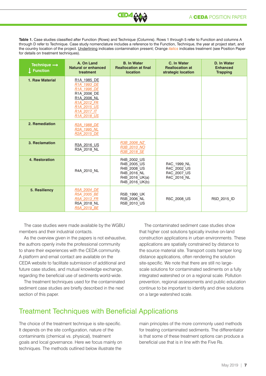

**Table 1.** Case studies classified after Function (Rows) and Technique (Columns). Rows 1 through 5 refer to Function and columns A through D refer to Technique. Case study nomenclature includes a reference to the Function, Technique, the year at project start, and the country location of the project. Underlining indicates contamination present; Orange *italics* indicates treatment (see Position Paper for details on treatment techniques).

| Technique $\rightarrow$<br><b>Function</b> | A. On Land<br><b>Natural or enhanced</b><br>treatment                                                                                                                      | <b>B. In Water</b><br><b>Reallocation at final</b><br><b>location</b>                        | C. In Water<br><b>Reallocation at</b><br>strategic location | D. In Water<br><b>Enhanced</b><br><b>Trapping</b> |
|--------------------------------------------|----------------------------------------------------------------------------------------------------------------------------------------------------------------------------|----------------------------------------------------------------------------------------------|-------------------------------------------------------------|---------------------------------------------------|
| 1. Raw Material                            | R <sub>1</sub> A 1985 DE<br>R1A 1993 DE<br>R1A 1996 DE<br>R1A 2006 DE<br>R1A 2006 NL<br>R <sub>1</sub> A 2012 FR<br>R <sub>1</sub> A 2015 US<br>R1A 2017 IT<br>R1A 2018 US |                                                                                              |                                                             |                                                   |
| 2. Remediation                             | R2A 1988 DE<br>R2A 1995 NL<br>R <sub>2</sub> A 2015 DE                                                                                                                     |                                                                                              |                                                             |                                                   |
| 3. Reclamation                             | R3A 2016 US<br>R3A 2018 NL                                                                                                                                                 | R3B 2006 NZ<br>R3B 2010 NO<br>R3B 2018 SE                                                    |                                                             |                                                   |
| 4. Restoration                             | R4A 2010 NL                                                                                                                                                                | R4B 2002 US<br>R4B 2005 US<br>R4B 2008 US<br>R4B 2016 NL<br>R4B 2016 UK(a)<br>R4B 2016 UK(b) | R4C 1999 NL<br>R4C 2002 US<br>R4C 2007 US<br>R4C 2016 NL    |                                                   |
| 5. Resiliency                              | R5A 2004 DE<br>R5A 2005 BE<br>R5A 2013 FR<br>R5A 2018 NL<br>R5A 2019 BE                                                                                                    | R5B_1990_UK<br>R5B_2006_NL<br>R5B 2010 US                                                    | R5C 2008 US                                                 | R5D 2015 ID                                       |

The case studies were made available by the WGBU members and their industrial contacts.

As the overview given in the papers is not exhaustive, the authors openly invite the professional community to share their experiences with the CEDA community. A platform and email contact are available on the CEDA website to facilitate submission of additional and future case studies, and mutual knowledge exchange, regarding the beneficial use of sediments world-wide.

The treatment techniques used for the contaminated sediment case studies are briefly described in the next section of this paper.

The contaminated sediment case studies show that higher cost solutions typically involve on-land construction applications in urban environments. These applications are spatially constrained by distance to the source material site. Transport costs hamper long distance applications, often rendering the solution site-specific. We note that there are still no largescale solutions for contaminated sediments on a fully integrated watershed or on a regional scale. Pollution prevention, regional assessments and public education continue to be important to identify and drive solutions on a large watershed scale.

# Treatment Techniques with Beneficial Applications

The choice of the treatment technique is site-specific. It depends on the site configuration, nature of the contaminants (chemical vs. physical), treatment goals and local governance. Here we focus mainly on techniques. The methods outlined below illustrate the

main principles of the more commonly used methods for treating contaminated sediments. The differentiator is that some of these treatment options can produce a beneficial use that is in line with the Five Rs.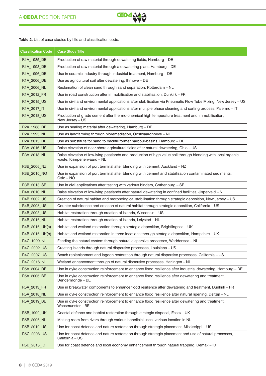

**Table 2.** List of case studies by title and classification code.

| <b>Classification Code</b>            | <b>Case Study Title</b>                                                                                                                    |  |  |  |
|---------------------------------------|--------------------------------------------------------------------------------------------------------------------------------------------|--|--|--|
| R1A_1985_DE                           | Production of raw material through dewatering fields, Hamburg - DE                                                                         |  |  |  |
| R1A 1993 DE                           | Production of raw material through a dewatering plant, Hamburg - DE                                                                        |  |  |  |
| R1A_1996_DE                           | Use in ceramic industry through industrial treatment, Hamburg - DE                                                                         |  |  |  |
| R1A_2006_DE                           | Use as agricultural soil after dewatering, Ihrhove - DE                                                                                    |  |  |  |
| R <sub>1</sub> A <sub>_2006</sub> _NL | Reclamation of clean sand through sand separation, Rotterdam - NL                                                                          |  |  |  |
| R1A_2012_FR                           | Use in road construction after immobilisation and stabilisation, Dunkirk - FR                                                              |  |  |  |
| R1A_2015_US                           | Use in civil and environmental applications after stabilisation via Pneumatic Flow Tube Mixing, New Jersey - US                            |  |  |  |
| R <sub>1</sub> A <sub>_2017</sub> _IT | Use in civil and environmental applications after multiple phase cleaning and sorting process, Palermo – IT                                |  |  |  |
| R1A_2018_US                           | Production of grade cement after thermo-chemical high temperature treatment and immobilisation,<br>New Jersey - US                         |  |  |  |
| R2A_1988_DE                           | Use as sealing material after dewatering, Hamburg - DE                                                                                     |  |  |  |
| R2A_1995_NL                           | Use as landfarming through bioremediation, Oostwaardhoeve - NL                                                                             |  |  |  |
| R2A_2015_DE                           | Use as substitute for sand to backfill former harbour-basins, Hamburg - DE                                                                 |  |  |  |
| R3A_2016_US                           | Raise elevation of near-shore agricultural fields after natural dewatering, Ohio - US                                                      |  |  |  |
| R3A_2018_NL                           | Raise elevation of low-lying peatlands and production of high value soil through blending with local organic<br>waste, Krimpenerwaard - NL |  |  |  |
| R3B_2006_NZ                           | Use in expansion of port terminal after blending with cement, Auckland - NZ                                                                |  |  |  |
| R3B_2010_NO                           | Use in expansion of port terminal after blending with cement and stabilisation contaminated sediments,<br>Oslo – NO                        |  |  |  |
| R3B_2018_SE                           | Use in civil applications after testing with various binders, Gothenburg - SE                                                              |  |  |  |
| R4A_2010_NL                           | Raise elevation of low-lying peatlands after natural dewatering in confined facilities, Jisperveld - NL                                    |  |  |  |
| R4B_2002_US                           | Creation of natural habitat and morphological stabilisation through strategic deposition, New Jersey - US                                  |  |  |  |
| R4B_2005_US                           | Counter subsidence and creation of natural habitat through strategic deposition, California - US                                           |  |  |  |
| R4B_2008_US                           | Habitat restoration through creation of islands, Wisconsin – US                                                                            |  |  |  |
| R4B_2016_NL                           | Habitat restoration through creation of islands, Lelystad - NL                                                                             |  |  |  |
| R4B_2016_UK(a)                        | Habitat and wetland restoration through strategic deposition, Brightlingsea - UK                                                           |  |  |  |
| R4B_2016_UK(b)                        | Habitat and wetland restoration in three locations through strategic deposition, Hampshire - UK                                            |  |  |  |
| R4C_1999_NL                           | Feeding the natural system through natural dispersive processes, Waddensea - NL                                                            |  |  |  |
| R4C_2002_US                           | Creating islands through natural dispersive processes, Louisiana - US                                                                      |  |  |  |
| R4C_2007_US                           | Beach replenishment and lagoon restoration through natural dispersive processes, California - US                                           |  |  |  |
| R4C_2016_NL                           | Wetland enhancement through of natural dispersive processes, Harlingen - NL                                                                |  |  |  |
| R5A_2004_DE                           | Use in dyke construction reinforcement to enhance flood resilience after industrial dewatering, Hamburg - DE                               |  |  |  |
| R5A_2005_BE                           | Use in dyke construction reinforcement to enhance flood resilience after dewatering and treatment,<br>Dendermonde - BE                     |  |  |  |
| R5A_2013_FR                           | Use in breakwater components to enhance flood resilience after dewatering and treatment, Dunkirk - FR                                      |  |  |  |
| R5A_2018_NL                           | Use in dyke construction reinforcement to enhance flood resilience after natural ripening, Delfzijl – NL                                   |  |  |  |
| R5A 2019 BE                           | Use in dyke construction reinforcement to enhance flood resilience after dewatering and treatment,<br>Waasmunster - BE                     |  |  |  |
| R5B_1990_UK                           | Coastal defence and habitat restoration through strategic disposal, Essex - UK                                                             |  |  |  |
| R5B_2006_NL                           | Making room from rivers through various beneficial uses, various location in NL                                                            |  |  |  |
| R5B_2010_US                           | Use for coast defence and nature restoration through strategic placement, Mississippi – US                                                 |  |  |  |
| R5C_2008_US                           | Use for coast defence and nature restoration through strategic placement and use of natural processes,<br>California - US                  |  |  |  |
|                                       |                                                                                                                                            |  |  |  |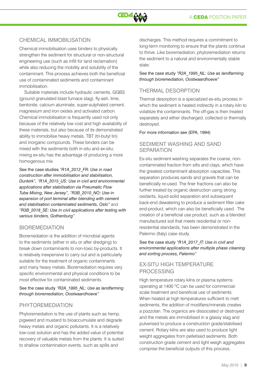

### Chemical Immobilisation

Chemical immobilisation uses binders to physically strengthen the sediment for structural or non-structural engineering use (such as infill for land reclamation) while also reducing the mobility and solubility of the contaminant. This process achieves both the beneficial use of contaminated sediments and contaminant immobilisation.

Suitable materials include hydraulic cements, GGBS (ground granulated blast furnace slag), fly-ash, lime, bentonite, calcium aluminate, super-sulphated cement, magnesium and iron oxides and activated carbon. Chemical immobilisation is frequently used not only because of the relatively low cost and high availability of these materials, but also because of its demonstrated ability to immobilise heavy metals, TBT (tri-butyl tin) and inorganic compounds. These binders can be mixed with the sediments both in-situ and ex-situ; mixing ex-situ has the advantage of producing a more homogenous mix.

See the case studies *"R1A\_2012\_FR: Use in road construction after immobilisation and stabilisation, Dunkirk", "R1A\_2015\_US: Use in civil and environmental applications after stabilisation via Pneumatic Flow Tube Mixing, New Jersey", "R3B\_2010\_NO: Use in expansion of port terminal after blending with cement and stabilisation contaminated sediments, Oslo"* and *"R3B\_2018\_SE: Use in civil applications after testing with various binders, Gothenburg"*

### **BIOREMEDIATION**

Bioremediation is the addition of microbial agents to the sediments (either in situ or after dredging) to break down contaminants to non-toxic by-products. It is relatively inexpensive to carry out and is particularly suitable for the treatment of organic contaminants and many heavy metals. Bioremediation requires very specific environmental and physical conditions to be most effective for contaminated sediments.

#### See the case study *"R2A\_1995\_NL: Use as landfarming through bioremediation, Oostwaardhoeve"*

### **PHYTOREMEDIATION**

Phytoremediation is the use of plants such as hemp, pigweed and mustard to bioaccumulate and degrade heavy metals and organic pollutants. It is a relatively low-cost solution and has the added value of potential recovery of valuable metals from the plants. It is suited to shallow contamination events, such as spills and

discharges. This method requires a commitment to long-term monitoring to ensure that the plants continue to thrive. Like bioremediation, phytoremediation returns the sediment to a natural and environmentally stable state.

See the case study *"R2A\_1995\_NL: Use as landfarming through bioremediation, Oostwaardhoeve"*

### Thermal Desorption

Thermal desorption is a specialized ex-situ process in which the sediment is heated indirectly in a rotary kiln to volatilize the contaminants. The off-gas is then treated separately and either discharged, collected or thermally destroyed.

For more information see (EPA, 1994)

#### Sediment Washing and Sand **SEPARATION**

Ex-situ sediment washing separates the coarse, noncontaminated fraction from silts and clays, which have the greatest contaminant absorption capacities. This separation produces sands and gravels that can be beneficially re-used. The finer fractions can also be further treated by organic destruction using strong oxidants, liquid-solid separation and subsequent back-end dewatering to produce a sediment filter cake end-product, which can also be beneficially used. The creation of a beneficial use product, such as a blended manufactured soil that meets residential or nonresidential standards, has been demonstrated in the Palermo (Italy) case study.

See the case study *"R1A\_2017\_IT: Use in civil and environmental applications after multiple phase cleaning and sorting process, Palermo"*

### Ex-situ High Temperature **PROCESSING**

High temperature rotary kilns or plasma systems operating at 1400 ºC can be used for commercialscale treatment and beneficial use of sediments. When heated at high temperatures sufficient to melt sediments, the addition of modifiers/minerals creates a pozzolan. The organics are dissociated or destroyed and the metals are immobilised in a glassy slag and pulverised to produce a construction grade/stabilised cement. Rotary kilns are also used to produce light weight aggregates from pelletised sediments. Both construction grade cement and light weigh aggregates comprise the beneficial outputs of this process,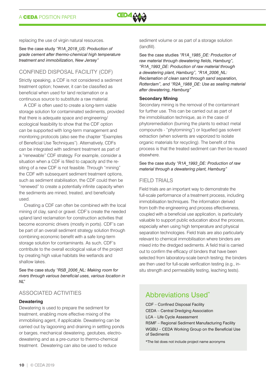

replacing the use of virgin natural resources.

See the case study *"R1A\_2018\_US: Production of grade cement after thermo-chemical high temperature treatment and immobilization, New Jersey"*

### Confined Disposal Facility (CDF)

Strictly speaking, a CDF is not considered a sediment treatment option; however, it can be classified as beneficial when used for land reclamation or a continuous source to substitute a raw material.

A CDF is often used to create a long-term viable storage solution for contaminated sediments, provided that there is adequate space and engineering/ ecological feasibility to show that the CDF option can be supported with long-term management and monitoring protocols (also see the chapter "Examples of Beneficial Use Techniques"). Alternatively, CDFs can be integrated with sediment treatment as part of a "renewable" CDF strategy. For example, consider a situation when a CDF is filled to capacity and the resiting of a new CDF is not feasible. Through "mining" the CDF with subsequent sediment treatment options, such as sediment stabilisation, the CDF could then be "renewed" to create a potentially infinite capacity when the sediments are mined, treated, and beneficially used.

Creating a CDF can often be combined with the local mining of clay, sand or gravel. CDF's create the needed upland land reclamation for construction activities that become economic drivers (mostly in ports). CDF's can be part of an overall sediment strategy solution through combining economic benefit with a safe long-term storage solution for contaminants. As such, CDF's contribute to the overall ecological value of the project by creating high value habitats like wetlands and shallow lakes.

See the case study *"R5B\_2006\_NL: Making room for rivers through various beneficial uses, various location in NL"*

### Associated Activities

#### **Dewatering**

Dewatering is used to prepare the sediment for treatment, enabling more effective mixing of the immobilising agent, if applicable. Dewatering can be carried out by lagooning and draining in settling ponds or barges, mechanical dewatering, geotubes, electrodewatering and as a pre-cursor to thermo-chemical treatment. Dewatering can also be used to reduce

sediment volume or as part of a storage solution (landfill).

See the case studies *"R1A\_1985\_DE: Production of raw material through dewatering fields, Hamburg", "R1A\_1993\_DE: Production of raw material through a dewatering plant, Hamburg", "R1A\_2006\_NL: Reclamation of clean sand through sand separation, Rotterdam", and "R2A\_1988\_DE: Use as sealing material after dewatering, Hamburg"*

#### **Secondary Mining**

Secondary mining is the removal of the contaminant for further use. This can be carried out as part of the immobilisation technique, as in the case of phytoremediation (burning the plants to extract metal compounds - "phytomining") or liquefied gas solvent extraction (when solvents are vaporized to isolate organic materials for recycling). The benefit of this process is that the treated sediment can then be reused elsewhere.

See the case study *"R1A\_1993\_DE: Production of raw material through a dewatering plant, Hamburg"*

#### FIFID TRIALS

Field trials are an important way to demonstrate the full-scale performance of a treatment process, including immobilisation techniques. The information derived from both the engineering and process effectiveness, coupled with a beneficial use application, is particularly valuable to support public education about the process, especially when using high temperature and physical separation technologies. Field trials are also particularly relevant to chemical immobilisation where binders are mixed into the dredged sediments. A field trial is carried out to confirm the efficacy of binders that have been selected from laboratory-scale bench testing; the binders are then used for full-scale verification testing (e.g., insitu strength and permeability testing, leaching tests).

### Abbreviations Used\*

CDF – Confined Disposal Facility CEDA – Central Dredging Association LCA – Life Cycle Assessment RSMF – Regional Sediment Manufacturing Facility WGBU – CEDA Working Group on the Beneficial Use of Sediments

\*The list does not include project name acronyms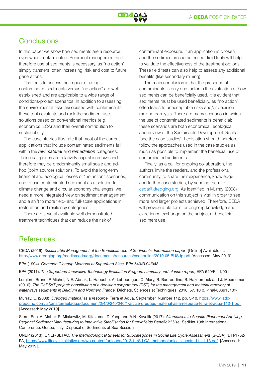# **Conclusions**

In this paper we show how sediments are a resource, even when contaminated. Sediment management and therefore use of sediments is necessary, as "no action" simply transfers, often increasing, risk and cost to future generations.

The tools to assess the impact of using contaminated sediments versus "no action" are well established and are applicable to a wide range of conditions/project scenarios. In addition to assessing the environmental risks associated with contaminants, these tools evaluate and rank the sediment use solutions based on conventional metrics (e.g., economics, LCA) and their overall contribution to sustainability.

The case studies illustrate that most of the current applications that include contaminated sediments fall within the *raw material* and *remediation* categories. These categories are relatively capital intensive and therefore may be predominantly small scale and adhoc (point source) solutions. To avoid the long-term financial and ecological losses of "no action" scenarios, and to use contaminated sediment as a solution for climate change and circular economy challenges, we need a more integrated view on sediment management and a shift to more field- and full-scale applications in restoration and resiliency categories.

There are several available well-demonstrated treatment techniques that can reduce the risk of

contaminant exposure. If an application is chosen and the sediment is characterised, field trials will help to validate the effectiveness of the treatment options. These field tests can also help to assess any additional benefits (like secondary mining).

The main conclusion is that the presence of contaminants is only one factor in the evaluation of how sediments can be beneficially used. It is evident that sediments must be used beneficially, as "no action" often leads to unacceptable risks and/or decisionmaking paralysis. There are many scenarios in which the use of contaminated sediments is beneficial; these scenarios are both economical, ecological and in view of the Sustainable Development Goals (see the case studies). Legislation should therefore follow the approaches used in the case studies as much as possible to implement the beneficial use of contaminated sediments.

Finally, as a call for ongoing collaboration, the authors invite the readers, and the professional community, to share their experience, knowledge and further case studies, by sending them to ceda@dredging.org. As identified in Murray (2008) communication on this subject is vital in order to see more and larger projects achieved. Therefore, CEDA will provide a platform for ongoing knowledge and experience exchange on the subject of beneficial sediment use.

### **References**

CEDA (2019). *Sustainable Management of the Beneficial Use of Sediments. Information paper*. [Online] Available at: http://www.dredging.org/media/ceda/org/documents/resources/cedaonline/2019-05-BUS-ip.pdf [Accessed: May 2019].

EPA (1994). *Common Cleanup Methods at Superfund Sites,* EPA 540/R-94/043

EPA (2011). *The Superfund Innovative Technology Evaluation Program summary and closure report,* EPA 540/R-11/001

Lemiere, Bruno, P. Michel, N.E. Abriak, L. Haouche, A. Laboudigue, C. Alary, R. Badreddine, B. Hazebrouck and J. Meerseman (2010). *The GeDSeT project: constitution of a decision support tool (DST) for the management and material recovery of*  waterways sediments in Belgium and Northern France, Déchets, Sciences et Techniques, 2010, 57, 10 p. <hal-00691510>

Murray, L. (2008). *Dredged material as a resource.* Terra et Aqua, September, Number 112, pp. 3-10. [https://www.iadc](https://www.iadc-dredging.com/ul/cms/terraetaqua/document/2/4/0/240/240/1/article-dredged-material-as-a-resource-terra-et-aqua-112-1.pdf)[dredging.com/ul/cms/terraetaqua/document/2/4/0/240/240/1/article-dredged-material-as-a-resource-terra-et-aqua-112-1.pdf](https://www.iadc-dredging.com/ul/cms/terraetaqua/document/2/4/0/240/240/1/article-dredged-material-as-a-resource-terra-et-aqua-112-1.pdf)  [Accessed: May 2019]

Stern, Eric, A. Maher, R. Miskewitz, M. Kitazume, D. Yang and A.N. Kovalik (2017). *Alternatives to Aquatic Placement Applying Regional Sediment Manufacturing to Innovative Stabilisation for Brownfields Beneficial Use,* SedNet 10th International Conference, Genoa, Italy, Disposal of Sediments at Sea Session

UNEP (2013). UNEP-SETAC, *The Methodological Sheets for Subcategories in Social Life Cycle Assessment* (S-LCA), DTI/1752/ PA, [https://www.lifecycleinitiative.org/wp-content/uploads/2013/11/S-LCA\\_methodological\\_sheets\\_11.11.13.pdf](https://www.lifecycleinitiative.org/wp-content/uploads/2013/11/S-LCA_methodological_sheets_11.11.13.pdf) [Accessed: May 2019].